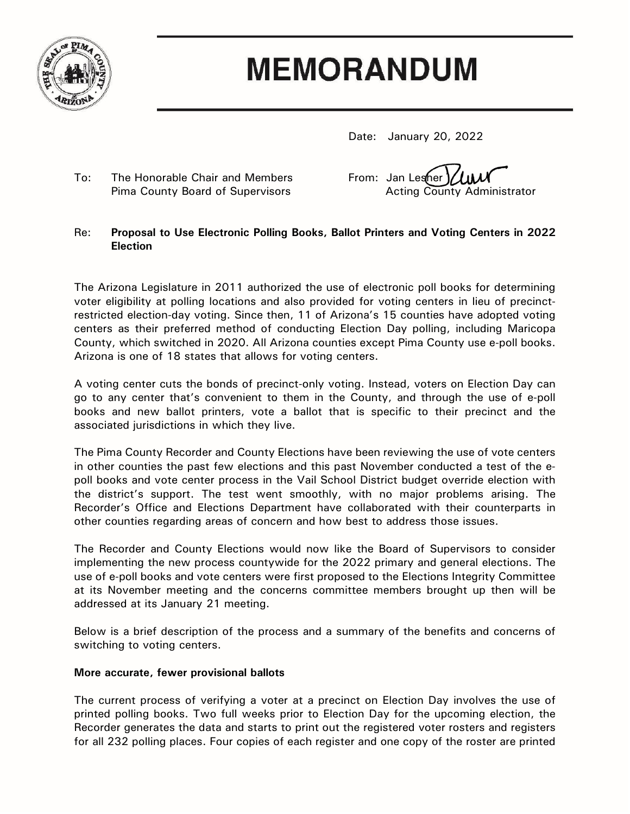

# **MEMORANDUM**

Date: January 20, 2022

To: The Honorable Chair and Members From: Jan Lesher

Pima County Board of Supervisors **Acting County Administrator** 

## Re: **Proposal to Use Electronic Polling Books, Ballot Printers and Voting Centers in 2022 Election**

The Arizona Legislature in 2011 authorized the use of electronic poll books for determining voter eligibility at polling locations and also provided for voting centers in lieu of precinctrestricted election-day voting. Since then, 11 of Arizona's 15 counties have adopted voting centers as their preferred method of conducting Election Day polling, including Maricopa County, which switched in 2020. All Arizona counties except Pima County use e-poll books. Arizona is one of 18 states that allows for voting centers.

A voting center cuts the bonds of precinct-only voting. Instead, voters on Election Day can go to any center that's convenient to them in the County, and through the use of e-poll books and new ballot printers, vote a ballot that is specific to their precinct and the associated jurisdictions in which they live.

The Pima County Recorder and County Elections have been reviewing the use of vote centers in other counties the past few elections and this past November conducted a test of the epoll books and vote center process in the Vail School District budget override election with the district's support. The test went smoothly, with no major problems arising. The Recorder's Office and Elections Department have collaborated with their counterparts in other counties regarding areas of concern and how best to address those issues.

The Recorder and County Elections would now like the Board of Supervisors to consider implementing the new process countywide for the 2022 primary and general elections. The use of e-poll books and vote centers were first proposed to the Elections Integrity Committee at its November meeting and the concerns committee members brought up then will be addressed at its January 21 meeting.

Below is a brief description of the process and a summary of the benefits and concerns of switching to voting centers.

# **More accurate, fewer provisional ballots**

The current process of verifying a voter at a precinct on Election Day involves the use of printed polling books. Two full weeks prior to Election Day for the upcoming election, the Recorder generates the data and starts to print out the registered voter rosters and registers for all 232 polling places. Four copies of each register and one copy of the roster are printed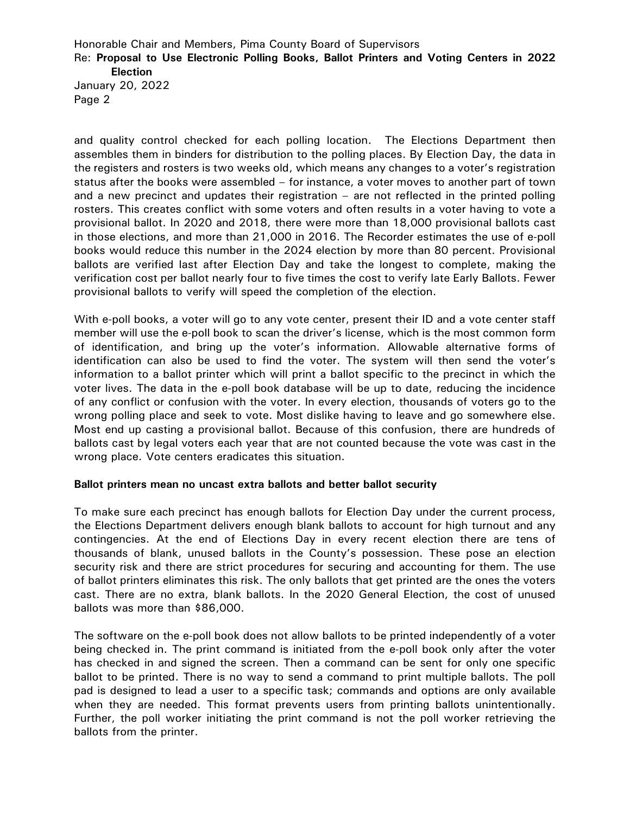Honorable Chair and Members, Pima County Board of Supervisors Re: **Proposal to Use Electronic Polling Books, Ballot Printers and Voting Centers in 2022 Election** January 20, 2022 Page 2

and quality control checked for each polling location. The Elections Department then assembles them in binders for distribution to the polling places. By Election Day, the data in the registers and rosters is two weeks old, which means any changes to a voter's registration status after the books were assembled – for instance, a voter moves to another part of town and a new precinct and updates their registration – are not reflected in the printed polling rosters. This creates conflict with some voters and often results in a voter having to vote a provisional ballot. In 2020 and 2018, there were more than 18,000 provisional ballots cast in those elections, and more than 21,000 in 2016. The Recorder estimates the use of e-poll books would reduce this number in the 2024 election by more than 80 percent. Provisional ballots are verified last after Election Day and take the longest to complete, making the verification cost per ballot nearly four to five times the cost to verify late Early Ballots. Fewer provisional ballots to verify will speed the completion of the election.

With e-poll books, a voter will go to any vote center, present their ID and a vote center staff member will use the e-poll book to scan the driver's license, which is the most common form of identification, and bring up the voter's information. Allowable alternative forms of identification can also be used to find the voter. The system will then send the voter's information to a ballot printer which will print a ballot specific to the precinct in which the voter lives. The data in the e-poll book database will be up to date, reducing the incidence of any conflict or confusion with the voter. In every election, thousands of voters go to the wrong polling place and seek to vote. Most dislike having to leave and go somewhere else. Most end up casting a provisional ballot. Because of this confusion, there are hundreds of ballots cast by legal voters each year that are not counted because the vote was cast in the wrong place. Vote centers eradicates this situation.

### **Ballot printers mean no uncast extra ballots and better ballot security**

To make sure each precinct has enough ballots for Election Day under the current process, the Elections Department delivers enough blank ballots to account for high turnout and any contingencies. At the end of Elections Day in every recent election there are tens of thousands of blank, unused ballots in the County's possession. These pose an election security risk and there are strict procedures for securing and accounting for them. The use of ballot printers eliminates this risk. The only ballots that get printed are the ones the voters cast. There are no extra, blank ballots. In the 2020 General Election, the cost of unused ballots was more than \$86,000.

The software on the e-poll book does not allow ballots to be printed independently of a voter being checked in. The print command is initiated from the e-poll book only after the voter has checked in and signed the screen. Then a command can be sent for only one specific ballot to be printed. There is no way to send a command to print multiple ballots. The poll pad is designed to lead a user to a specific task; commands and options are only available when they are needed. This format prevents users from printing ballots unintentionally. Further, the poll worker initiating the print command is not the poll worker retrieving the ballots from the printer.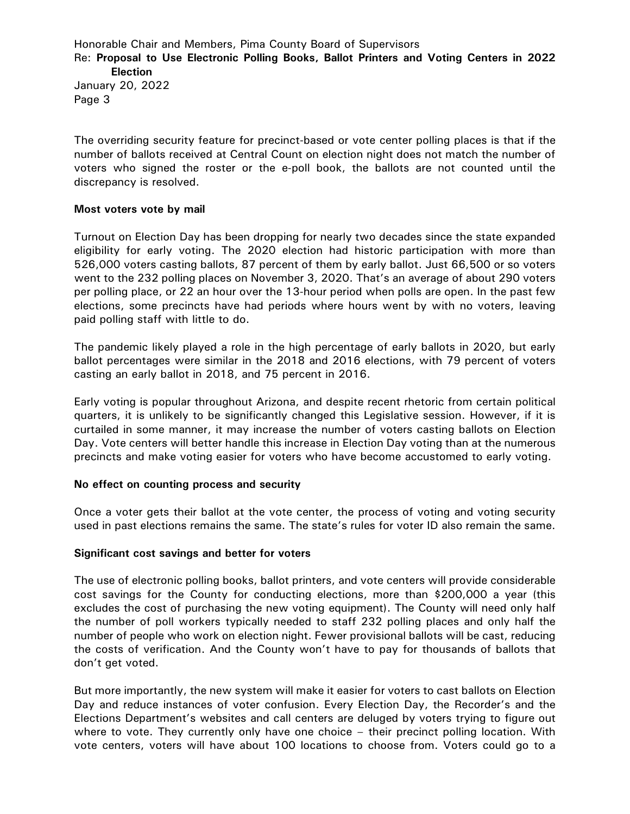Honorable Chair and Members, Pima County Board of Supervisors Re: **Proposal to Use Electronic Polling Books, Ballot Printers and Voting Centers in 2022 Election** January 20, 2022 Page 3

The overriding security feature for precinct-based or vote center polling places is that if the number of ballots received at Central Count on election night does not match the number of voters who signed the roster or the e-poll book, the ballots are not counted until the discrepancy is resolved.

## **Most voters vote by mail**

Turnout on Election Day has been dropping for nearly two decades since the state expanded eligibility for early voting. The 2020 election had historic participation with more than 526,000 voters casting ballots, 87 percent of them by early ballot. Just 66,500 or so voters went to the 232 polling places on November 3, 2020. That's an average of about 290 voters per polling place, or 22 an hour over the 13-hour period when polls are open. In the past few elections, some precincts have had periods where hours went by with no voters, leaving paid polling staff with little to do.

The pandemic likely played a role in the high percentage of early ballots in 2020, but early ballot percentages were similar in the 2018 and 2016 elections, with 79 percent of voters casting an early ballot in 2018, and 75 percent in 2016.

Early voting is popular throughout Arizona, and despite recent rhetoric from certain political quarters, it is unlikely to be significantly changed this Legislative session. However, if it is curtailed in some manner, it may increase the number of voters casting ballots on Election Day. Vote centers will better handle this increase in Election Day voting than at the numerous precincts and make voting easier for voters who have become accustomed to early voting.

### **No effect on counting process and security**

Once a voter gets their ballot at the vote center, the process of voting and voting security used in past elections remains the same. The state's rules for voter ID also remain the same.

### **Significant cost savings and better for voters**

The use of electronic polling books, ballot printers, and vote centers will provide considerable cost savings for the County for conducting elections, more than \$200,000 a year (this excludes the cost of purchasing the new voting equipment). The County will need only half the number of poll workers typically needed to staff 232 polling places and only half the number of people who work on election night. Fewer provisional ballots will be cast, reducing the costs of verification. And the County won't have to pay for thousands of ballots that don't get voted.

But more importantly, the new system will make it easier for voters to cast ballots on Election Day and reduce instances of voter confusion. Every Election Day, the Recorder's and the Elections Department's websites and call centers are deluged by voters trying to figure out where to vote. They currently only have one choice – their precinct polling location. With vote centers, voters will have about 100 locations to choose from. Voters could go to a